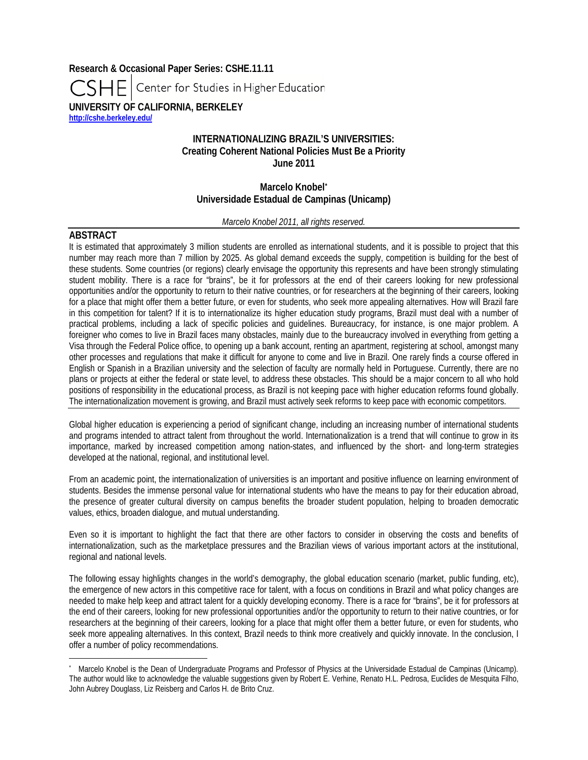**Research & Occasional Paper Series: CSHE.11.11** Center for Studies in Higher Education **UNIVERSITY OF CALIFORNIA, BERKELEY <http://cshe.berkeley.edu/>**

# **INTERNATIONALIZING BRAZIL'S UNIVERSITIES: Creating Coherent National Policies Must Be a Priority June 2011**

**Marcelo Knobel[\\*](#page-0-0) Universidade Estadual de Campinas (Unicamp)**

#### *Marcelo Knobel 2011, all rights reserved.*

# **ABSTRACT**

 $\overline{a}$ 

It is estimated that approximately 3 million students are enrolled as international students, and it is possible to project that this number may reach more than 7 million by 2025. As global demand exceeds the supply, competition is building for the best of these students. Some countries (or regions) clearly envisage the opportunity this represents and have been strongly stimulating student mobility. There is a race for "brains", be it for professors at the end of their careers looking for new professional opportunities and/or the opportunity to return to their native countries, or for researchers at the beginning of their careers, looking for a place that might offer them a better future, or even for students, who seek more appealing alternatives. How will Brazil fare in this competition for talent? If it is to internationalize its higher education study programs, Brazil must deal with a number of practical problems, including a lack of specific policies and guidelines. Bureaucracy, for instance, is one major problem. A foreigner who comes to live in Brazil faces many obstacles, mainly due to the bureaucracy involved in everything from getting a Visa through the Federal Police office, to opening up a bank account, renting an apartment, registering at school, amongst many other processes and regulations that make it difficult for anyone to come and live in Brazil. One rarely finds a course offered in English or Spanish in a Brazilian university and the selection of faculty are normally held in Portuguese. Currently, there are no plans or projects at either the federal or state level, to address these obstacles. This should be a major concern to all who hold positions of responsibility in the educational process, as Brazil is not keeping pace with higher education reforms found globally. The internationalization movement is growing, and Brazil must actively seek reforms to keep pace with economic competitors.

Global higher education is experiencing a period of significant change, including an increasing number of international students and programs intended to attract talent from throughout the world. Internationalization is a trend that will continue to grow in its importance, marked by increased competition among nation-states, and influenced by the short- and long-term strategies developed at the national, regional, and institutional level.

From an academic point, the internationalization of universities is an important and positive influence on learning environment of students. Besides the immense personal value for international students who have the means to pay for their education abroad, the presence of greater cultural diversity on campus benefits the broader student population, helping to broaden democratic values, ethics, broaden dialogue, and mutual understanding.

Even so it is important to highlight the fact that there are other factors to consider in observing the costs and benefits of internationalization, such as the marketplace pressures and the Brazilian views of various important actors at the institutional, regional and national levels.

The following essay highlights changes in the world's demography, the global education scenario (market, public funding, etc), the emergence of new actors in this competitive race for talent, with a focus on conditions in Brazil and what policy changes are needed to make help keep and attract talent for a quickly developing economy. There is a race for "brains", be it for professors at the end of their careers, looking for new professional opportunities and/or the opportunity to return to their native countries, or for researchers at the beginning of their careers, looking for a place that might offer them a better future, or even for students, who seek more appealing alternatives. In this context, Brazil needs to think more creatively and quickly innovate. In the conclusion, I offer a number of policy recommendations.

<span id="page-0-0"></span><sup>\*</sup> Marcelo Knobel is the Dean of Undergraduate Programs and Professor of Physics at the Universidade Estadual de Campinas (Unicamp). The author would like to acknowledge the valuable suggestions given by Robert E. Verhine, Renato H.L. Pedrosa, Euclides de Mesquita Filho, John Aubrey Douglass, Liz Reisberg and Carlos H. de Brito Cruz.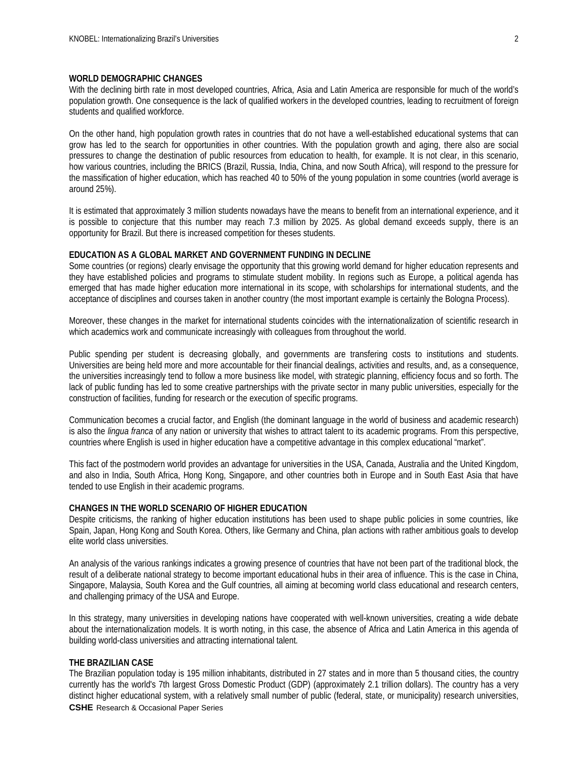#### **WORLD DEMOGRAPHIC CHANGES**

With the declining birth rate in most developed countries, Africa, Asia and Latin America are responsible for much of the world's population growth. One consequence is the lack of qualified workers in the developed countries, leading to recruitment of foreign students and qualified workforce.

On the other hand, high population growth rates in countries that do not have a well-established educational systems that can grow has led to the search for opportunities in other countries. With the population growth and aging, there also are social pressures to change the destination of public resources from education to health, for example. It is not clear, in this scenario, how various countries, including the BRICS (Brazil, Russia, India, China, and now South Africa), will respond to the pressure for the massification of higher education, which has reached 40 to 50% of the young population in some countries (world average is around 25%).

It is estimated that approximately 3 million students nowadays have the means to benefit from an international experience, and it is possible to conjecture that this number may reach 7.3 million by 2025. As global demand exceeds supply, there is an opportunity for Brazil. But there is increased competition for theses students.

#### **EDUCATION AS A GLOBAL MARKET AND GOVERNMENT FUNDING IN DECLINE**

Some countries (or regions) clearly envisage the opportunity that this growing world demand for higher education represents and they have established policies and programs to stimulate student mobility. In regions such as Europe, a political agenda has emerged that has made higher education more international in its scope, with scholarships for international students, and the acceptance of disciplines and courses taken in another country (the most important example is certainly the Bologna Process).

Moreover, these changes in the market for international students coincides with the internationalization of scientific research in which academics work and communicate increasingly with colleagues from throughout the world.

Public spending per student is decreasing globally, and governments are transfering costs to institutions and students. Universities are being held more and more accountable for their financial dealings, activities and results, and, as a consequence, the universities increasingly tend to follow a more business like model, with strategic planning, efficiency focus and so forth. The lack of public funding has led to some creative partnerships with the private sector in many public universities, especially for the construction of facilities, funding for research or the execution of specific programs.

Communication becomes a crucial factor, and English (the dominant language in the world of business and academic research) is also the *lingua franca* of any nation or university that wishes to attract talent to its academic programs. From this perspective, countries where English is used in higher education have a competitive advantage in this complex educational "market".

This fact of the postmodern world provides an advantage for universities in the USA, Canada, Australia and the United Kingdom, and also in India, South Africa, Hong Kong, Singapore, and other countries both in Europe and in South East Asia that have tended to use English in their academic programs.

#### **CHANGES IN THE WORLD SCENARIO OF HIGHER EDUCATION**

Despite criticisms, the ranking of higher education institutions has been used to shape public policies in some countries, like Spain, Japan, Hong Kong and South Korea. Others, like Germany and China, plan actions with rather ambitious goals to develop elite world class universities.

An analysis of the various rankings indicates a growing presence of countries that have not been part of the traditional block, the result of a deliberate national strategy to become important educational hubs in their area of influence. This is the case in China, Singapore, Malaysia, South Korea and the Gulf countries, all aiming at becoming world class educational and research centers, and challenging primacy of the USA and Europe.

In this strategy, many universities in developing nations have cooperated with well-known universities, creating a wide debate about the internationalization models. It is worth noting, in this case, the absence of Africa and Latin America in this agenda of building world-class universities and attracting international talent.

#### **THE BRAZILIAN CASE**

**CSHE** Research & Occasional Paper Series The Brazilian population today is 195 million inhabitants, distributed in 27 states and in more than 5 thousand cities, the country currently has the world's 7th largest Gross Domestic Product (GDP) (approximately 2.1 trillion dollars). The country has a very distinct higher educational system, with a relatively small number of public (federal, state, or municipality) research universities,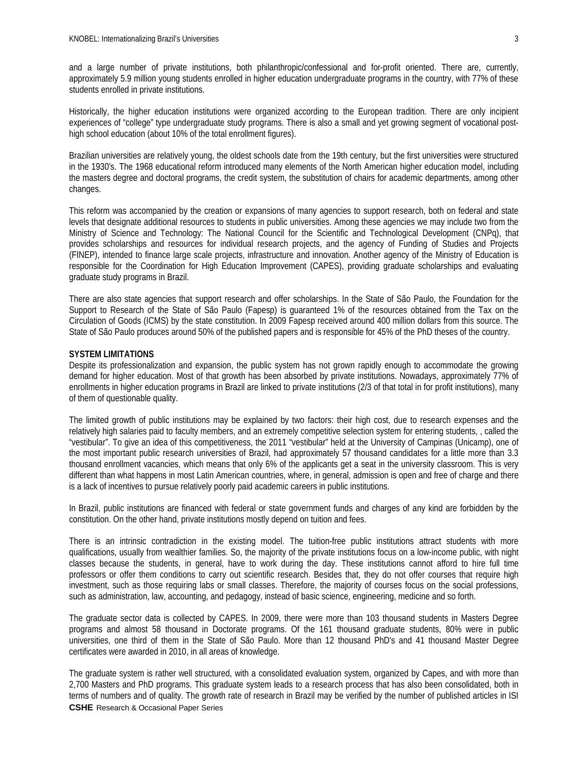and a large number of private institutions, both philanthropic/confessional and for-profit oriented. There are, currently, approximately 5.9 million young students enrolled in higher education undergraduate programs in the country, with 77% of these students enrolled in private institutions.

Historically, the higher education institutions were organized according to the European tradition. There are only incipient experiences of "college" type undergraduate study programs. There is also a small and yet growing segment of vocational posthigh school education (about 10% of the total enrollment figures).

Brazilian universities are relatively young, the oldest schools date from the 19th century, but the first universities were structured in the 1930's. The 1968 educational reform introduced many elements of the North American higher education model, including the masters degree and doctoral programs, the credit system, the substitution of chairs for academic departments, among other changes.

This reform was accompanied by the creation or expansions of many agencies to support research, both on federal and state levels that designate additional resources to students in public universities. Among these agencies we may include two from the Ministry of Science and Technology: The National Council for the Scientific and Technological Development (CNPq), that provides scholarships and resources for individual research projects, and the agency of Funding of Studies and Projects (FINEP), intended to finance large scale projects, infrastructure and innovation. Another agency of the Ministry of Education is responsible for the Coordination for High Education Improvement (CAPES), providing graduate scholarships and evaluating graduate study programs in Brazil.

There are also state agencies that support research and offer scholarships. In the State of São Paulo, the Foundation for the Support to Research of the State of São Paulo (Fapesp) is guaranteed 1% of the resources obtained from the Tax on the Circulation of Goods (ICMS) by the state constitution. In 2009 Fapesp received around 400 million dollars from this source. The State of São Paulo produces around 50% of the published papers and is responsible for 45% of the PhD theses of the country.

# **SYSTEM LIMITATIONS**

Despite its professionalization and expansion, the public system has not grown rapidly enough to accommodate the growing demand for higher education. Most of that growth has been absorbed by private institutions. Nowadays, approximately 77% of enrollments in higher education programs in Brazil are linked to private institutions (2/3 of that total in for profit institutions), many of them of questionable quality.

The limited growth of public institutions may be explained by two factors: their high cost, due to research expenses and the relatively high salaries paid to faculty members, and an extremely competitive selection system for entering students, , called the "vestibular". To give an idea of this competitiveness, the 2011 "vestibular" held at the University of Campinas (Unicamp), one of the most important public research universities of Brazil, had approximately 57 thousand candidates for a little more than 3.3 thousand enrollment vacancies, which means that only 6% of the applicants get a seat in the university classroom. This is very different than what happens in most Latin American countries, where, in general, admission is open and free of charge and there is a lack of incentives to pursue relatively poorly paid academic careers in public institutions.

In Brazil, public institutions are financed with federal or state government funds and charges of any kind are forbidden by the constitution. On the other hand, private institutions mostly depend on tuition and fees.

There is an intrinsic contradiction in the existing model. The tuition-free public institutions attract students with more qualifications, usually from wealthier families. So, the majority of the private institutions focus on a low-income public, with night classes because the students, in general, have to work during the day. These institutions cannot afford to hire full time professors or offer them conditions to carry out scientific research. Besides that, they do not offer courses that require high investment, such as those requiring labs or small classes. Therefore, the majority of courses focus on the social professions, such as administration, law, accounting, and pedagogy, instead of basic science, engineering, medicine and so forth.

The graduate sector data is collected by CAPES. In 2009, there were more than 103 thousand students in Masters Degree programs and almost 58 thousand in Doctorate programs. Of the 161 thousand graduate students, 80% were in public universities, one third of them in the State of São Paulo. More than 12 thousand PhD's and 41 thousand Master Degree certificates were awarded in 2010, in all areas of knowledge.

**CSHE** Research & Occasional Paper Series The graduate system is rather well structured, with a consolidated evaluation system, organized by Capes, and with more than 2,700 Masters and PhD programs. This graduate system leads to a research process that has also been consolidated, both in terms of numbers and of quality. The growth rate of research in Brazil may be verified by the number of published articles in ISI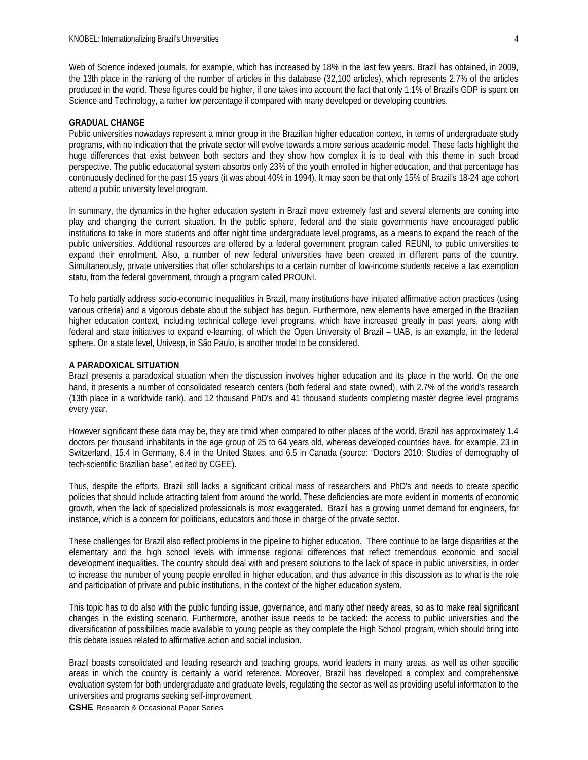Web of Science indexed journals, for example, which has increased by 18% in the last few years. Brazil has obtained, in 2009, the 13th place in the ranking of the number of articles in this database (32,100 articles), which represents 2.7% of the articles produced in the world. These figures could be higher, if one takes into account the fact that only 1.1% of Brazil's GDP is spent on Science and Technology, a rather low percentage if compared with many developed or developing countries.

### **GRADUAL CHANGE**

Public universities nowadays represent a minor group in the Brazilian higher education context, in terms of undergraduate study programs, with no indication that the private sector will evolve towards a more serious academic model. These facts highlight the huge differences that exist between both sectors and they show how complex it is to deal with this theme in such broad perspective. The public educational system absorbs only 23% of the youth enrolled in higher education, and that percentage has continuously declined for the past 15 years (it was about 40% in 1994). It may soon be that only 15% of Brazil's 18-24 age cohort attend a public university level program.

In summary, the dynamics in the higher education system in Brazil move extremely fast and several elements are coming into play and changing the current situation. In the public sphere, federal and the state governments have encouraged public institutions to take in more students and offer night time undergraduate level programs, as a means to expand the reach of the public universities. Additional resources are offered by a federal government program called REUNI, to public universities to expand their enrollment. Also, a number of new federal universities have been created in different parts of the country. Simultaneously, private universities that offer scholarships to a certain number of low-income students receive a tax exemption statu, from the federal government, through a program called PROUNI.

To help partially address socio-economic inequalities in Brazil, many institutions have initiated affirmative action practices (using various criteria) and a vigorous debate about the subject has begun. Furthermore, new elements have emerged in the Brazilian higher education context, including technical college level programs, which have increased greatly in past years, along with federal and state initiatives to expand e-learning, of which the Open University of Brazil – UAB, is an example, in the federal sphere. On a state level, Univesp, in São Paulo, is another model to be considered.

#### **A PARADOXICAL SITUATION**

Brazil presents a paradoxical situation when the discussion involves higher education and its place in the world. On the one hand, it presents a number of consolidated research centers (both federal and state owned), with 2.7% of the world's research (13th place in a worldwide rank), and 12 thousand PhD's and 41 thousand students completing master degree level programs every year.

However significant these data may be, they are timid when compared to other places of the world. Brazil has approximately 1.4 doctors per thousand inhabitants in the age group of 25 to 64 years old, whereas developed countries have, for example, 23 in Switzerland, 15.4 in Germany, 8.4 in the United States, and 6.5 in Canada (source: "Doctors 2010: Studies of demography of tech-scientific Brazilian base", edited by CGEE).

Thus, despite the efforts, Brazil still lacks a significant critical mass of researchers and PhD's and needs to create specific policies that should include attracting talent from around the world. These deficiencies are more evident in moments of economic growth, when the lack of specialized professionals is most exaggerated. Brazil has a growing unmet demand for engineers, for instance, which is a concern for politicians, educators and those in charge of the private sector.

These challenges for Brazil also reflect problems in the pipeline to higher education. There continue to be large disparities at the elementary and the high school levels with immense regional differences that reflect tremendous economic and social development inequalities. The country should deal with and present solutions to the lack of space in public universities, in order to increase the number of young people enrolled in higher education, and thus advance in this discussion as to what is the role and participation of private and public institutions, in the context of the higher education system.

This topic has to do also with the public funding issue, governance, and many other needy areas, so as to make real significant changes in the existing scenario. Furthermore, another issue needs to be tackled: the access to public universities and the diversification of possibilities made available to young people as they complete the High School program, which should bring into this debate issues related to affirmative action and social inclusion.

Brazil boasts consolidated and leading research and teaching groups, world leaders in many areas, as well as other specific areas in which the country is certainly a world reference. Moreover, Brazil has developed a complex and comprehensive evaluation system for both undergraduate and graduate levels, regulating the sector as well as providing useful information to the universities and programs seeking self-improvement.

**CSHE** Research & Occasional Paper Series